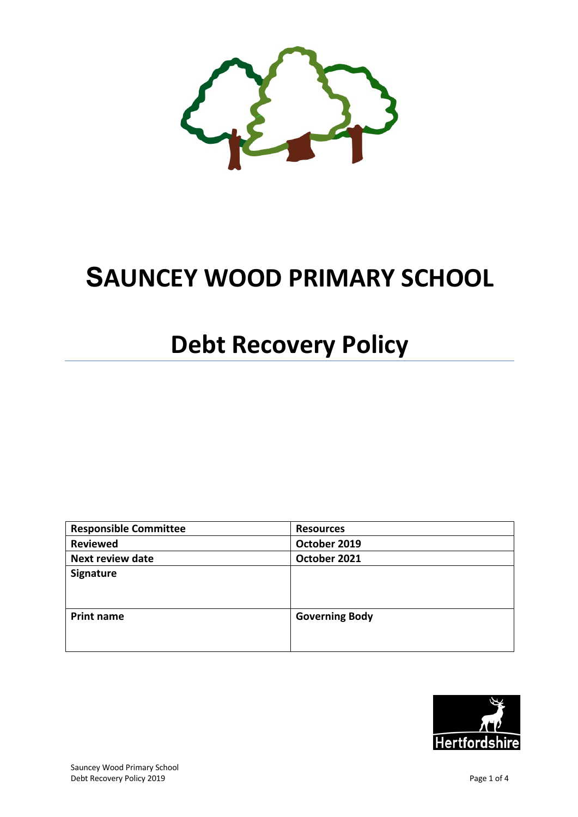

# **SAUNCEY WOOD PRIMARY SCHOOL**

# **Debt Recovery Policy**

| <b>Responsible Committee</b> | <b>Resources</b>      |
|------------------------------|-----------------------|
| <b>Reviewed</b>              | October 2019          |
| <b>Next review date</b>      | October 2021          |
| <b>Signature</b>             |                       |
| <b>Print name</b>            | <b>Governing Body</b> |

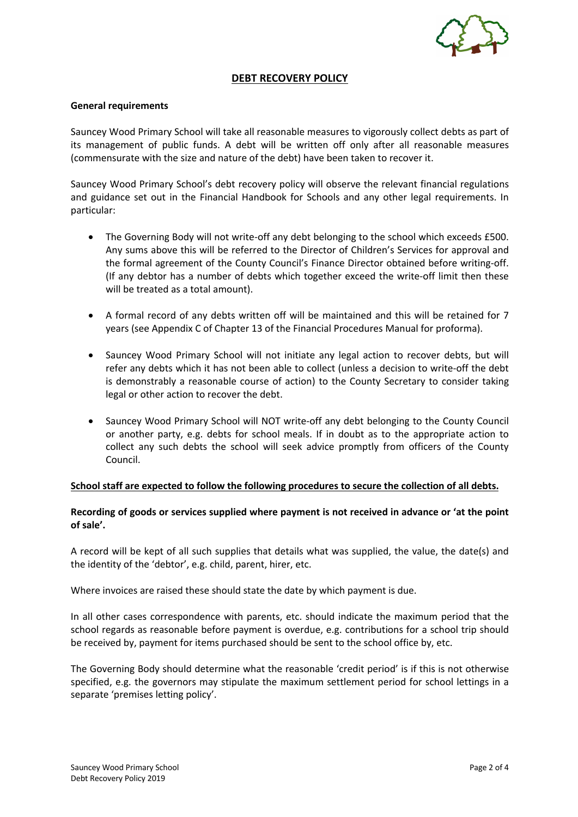

## **DEBT RECOVERY POLICY**

#### **General requirements**

Sauncey Wood Primary School will take all reasonable measures to vigorously collect debts as part of its management of public funds. A debt will be written off only after all reasonable measures (commensurate with the size and nature of the debt) have been taken to recover it.

Sauncey Wood Primary School's debt recovery policy will observe the relevant financial regulations and guidance set out in the Financial Handbook for Schools and any other legal requirements. In particular:

- The Governing Body will not write-off any debt belonging to the school which exceeds £500. Any sums above this will be referred to the Director of Children's Services for approval and the formal agreement of the County Council's Finance Director obtained before writing-off. (If any debtor has a number of debts which together exceed the write-off limit then these will be treated as a total amount).
- A formal record of any debts written off will be maintained and this will be retained for 7 years (see Appendix C of Chapter 13 of the Financial Procedures Manual for proforma).
- Sauncey Wood Primary School will not initiate any legal action to recover debts, but will refer any debts which it has not been able to collect (unless a decision to write-off the debt is demonstrably a reasonable course of action) to the County Secretary to consider taking legal or other action to recover the debt.
- Sauncey Wood Primary School will NOT write-off any debt belonging to the County Council or another party, e.g. debts for school meals. If in doubt as to the appropriate action to collect any such debts the school will seek advice promptly from officers of the County Council.

#### **School staff are expected to follow the following procedures to secure the collection of all debts.**

## **Recording of goods or services supplied where payment is not received in advance or 'at the point of sale'.**

A record will be kept of all such supplies that details what was supplied, the value, the date(s) and the identity of the 'debtor', e.g. child, parent, hirer, etc.

Where invoices are raised these should state the date by which payment is due.

In all other cases correspondence with parents, etc. should indicate the maximum period that the school regards as reasonable before payment is overdue, e.g. contributions for a school trip should be received by, payment for items purchased should be sent to the school office by, etc.

The Governing Body should determine what the reasonable 'credit period' is if this is not otherwise specified, e.g. the governors may stipulate the maximum settlement period for school lettings in a separate 'premises letting policy'.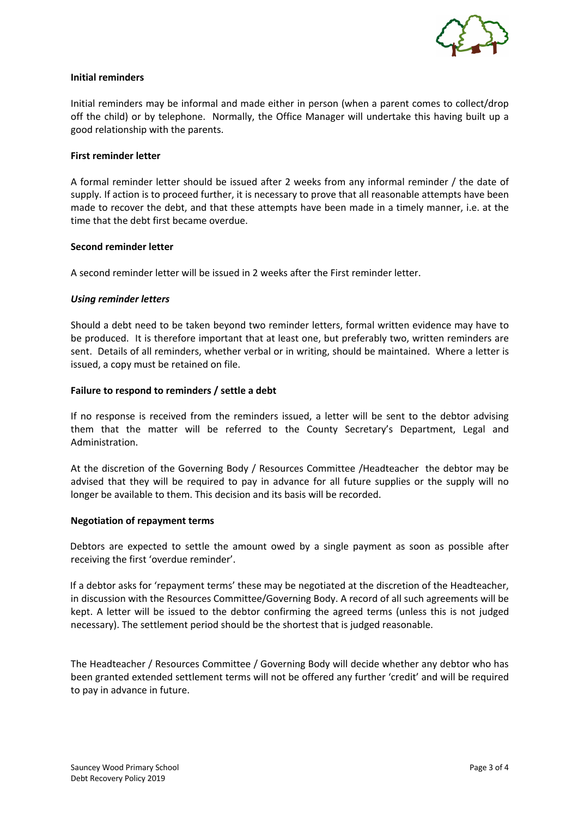

### **Initial reminders**

Initial reminders may be informal and made either in person (when a parent comes to collect/drop off the child) or by telephone. Normally, the Office Manager will undertake this having built up a good relationship with the parents.

#### **First reminder letter**

A formal reminder letter should be issued after 2 weeks from any informal reminder / the date of supply. If action is to proceed further, it is necessary to prove that all reasonable attempts have been made to recover the debt, and that these attempts have been made in a timely manner, i.e. at the time that the debt first became overdue.

#### **Second reminder letter**

A second reminder letter will be issued in 2 weeks after the First reminder letter.

#### *Using reminder letters*

Should a debt need to be taken beyond two reminder letters, formal written evidence may have to be produced. It is therefore important that at least one, but preferably two, written reminders are sent. Details of all reminders, whether verbal or in writing, should be maintained. Where a letter is issued, a copy must be retained on file.

#### **Failure to respond to reminders / settle a debt**

If no response is received from the reminders issued, a letter will be sent to the debtor advising them that the matter will be referred to the County Secretary's Department, Legal and Administration.

At the discretion of the Governing Body / Resources Committee /Headteacher the debtor may be advised that they will be required to pay in advance for all future supplies or the supply will no longer be available to them. This decision and its basis will be recorded.

#### **Negotiation of repayment terms**

Debtors are expected to settle the amount owed by a single payment as soon as possible after receiving the first 'overdue reminder'.

If a debtor asks for 'repayment terms' these may be negotiated at the discretion of the Headteacher, in discussion with the Resources Committee/Governing Body. A record of all such agreements will be kept. A letter will be issued to the debtor confirming the agreed terms (unless this is not judged necessary). The settlement period should be the shortest that is judged reasonable.

The Headteacher / Resources Committee / Governing Body will decide whether any debtor who has been granted extended settlement terms will not be offered any further 'credit' and will be required to pay in advance in future.